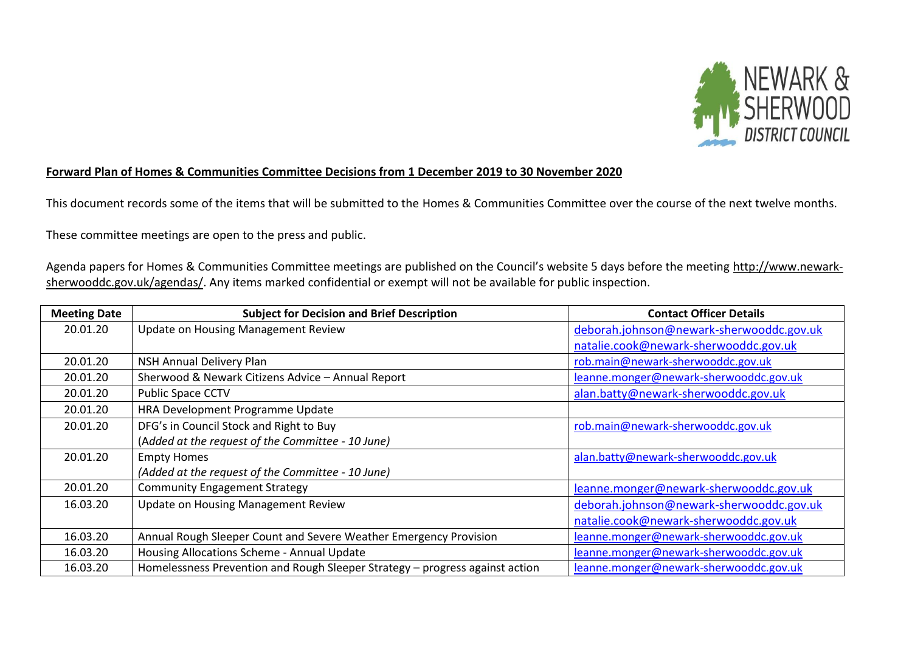

## **Forward Plan of Homes & Communities Committee Decisions from 1 December 2019 to 30 November 2020**

This document records some of the items that will be submitted to the Homes & Communities Committee over the course of the next twelve months.

These committee meetings are open to the press and public.

Agenda papers for Homes & Communities Committee meetings are published on the Council's website 5 days before the meeting [http://www.newark](http://www.newark-sherwooddc.gov.uk/agendas/)[sherwooddc.gov.uk/agendas/.](http://www.newark-sherwooddc.gov.uk/agendas/) Any items marked confidential or exempt will not be available for public inspection.

| <b>Meeting Date</b> | <b>Subject for Decision and Brief Description</b>                            | <b>Contact Officer Details</b>           |
|---------------------|------------------------------------------------------------------------------|------------------------------------------|
| 20.01.20            | Update on Housing Management Review                                          | deborah.johnson@newark-sherwooddc.gov.uk |
|                     |                                                                              | natalie.cook@newark-sherwooddc.gov.uk    |
| 20.01.20            | NSH Annual Delivery Plan                                                     | rob.main@newark-sherwooddc.gov.uk        |
| 20.01.20            | Sherwood & Newark Citizens Advice - Annual Report                            | leanne.monger@newark-sherwooddc.gov.uk   |
| 20.01.20            | <b>Public Space CCTV</b>                                                     | alan.batty@newark-sherwooddc.gov.uk      |
| 20.01.20            | HRA Development Programme Update                                             |                                          |
| 20.01.20            | DFG's in Council Stock and Right to Buy                                      | rob.main@newark-sherwooddc.gov.uk        |
|                     | (Added at the request of the Committee - 10 June)                            |                                          |
| 20.01.20            | <b>Empty Homes</b>                                                           | alan.batty@newark-sherwooddc.gov.uk      |
|                     | (Added at the request of the Committee - 10 June)                            |                                          |
| 20.01.20            | <b>Community Engagement Strategy</b>                                         | leanne.monger@newark-sherwooddc.gov.uk   |
| 16.03.20            | Update on Housing Management Review                                          | deborah.johnson@newark-sherwooddc.gov.uk |
|                     |                                                                              | natalie.cook@newark-sherwooddc.gov.uk    |
| 16.03.20            | Annual Rough Sleeper Count and Severe Weather Emergency Provision            | leanne.monger@newark-sherwooddc.gov.uk   |
| 16.03.20            | Housing Allocations Scheme - Annual Update                                   | leanne.monger@newark-sherwooddc.gov.uk   |
| 16.03.20            | Homelessness Prevention and Rough Sleeper Strategy - progress against action | leanne.monger@newark-sherwooddc.gov.uk   |